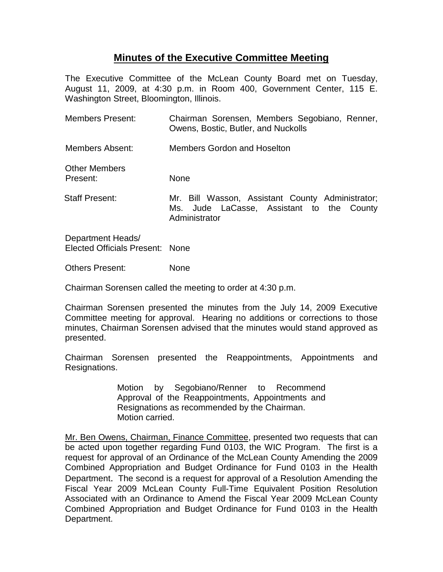## **Minutes of the Executive Committee Meeting**

The Executive Committee of the McLean County Board met on Tuesday, August 11, 2009, at 4:30 p.m. in Room 400, Government Center, 115 E. Washington Street, Bloomington, Illinois.

| <b>Members Present:</b>          | Chairman Sorensen, Members Segobiano, Renner,<br>Owens, Bostic, Butler, and Nuckolls                           |
|----------------------------------|----------------------------------------------------------------------------------------------------------------|
| Members Absent:                  | <b>Members Gordon and Hoselton</b>                                                                             |
| <b>Other Members</b><br>Present: | <b>None</b>                                                                                                    |
| <b>Staff Present:</b>            | Mr. Bill Wasson, Assistant County Administrator;<br>Ms. Jude LaCasse, Assistant to the County<br>Administrator |
|                                  |                                                                                                                |

Department Heads/ Elected Officials Present: None

Others Present: None

Chairman Sorensen called the meeting to order at 4:30 p.m.

Chairman Sorensen presented the minutes from the July 14, 2009 Executive Committee meeting for approval. Hearing no additions or corrections to those minutes, Chairman Sorensen advised that the minutes would stand approved as presented.

Chairman Sorensen presented the Reappointments, Appointments and Resignations.

> Motion by Segobiano/Renner to Recommend Approval of the Reappointments, Appointments and Resignations as recommended by the Chairman. Motion carried.

Mr. Ben Owens, Chairman, Finance Committee, presented two requests that can be acted upon together regarding Fund 0103, the WIC Program. The first is a request for approval of an Ordinance of the McLean County Amending the 2009 Combined Appropriation and Budget Ordinance for Fund 0103 in the Health Department. The second is a request for approval of a Resolution Amending the Fiscal Year 2009 McLean County Full-Time Equivalent Position Resolution Associated with an Ordinance to Amend the Fiscal Year 2009 McLean County Combined Appropriation and Budget Ordinance for Fund 0103 in the Health Department.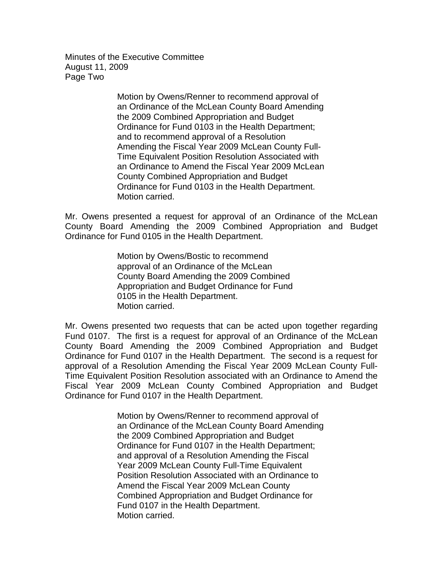Minutes of the Executive Committee August 11, 2009 Page Two

> Motion by Owens/Renner to recommend approval of an Ordinance of the McLean County Board Amending the 2009 Combined Appropriation and Budget Ordinance for Fund 0103 in the Health Department; and to recommend approval of a Resolution Amending the Fiscal Year 2009 McLean County Full-Time Equivalent Position Resolution Associated with an Ordinance to Amend the Fiscal Year 2009 McLean County Combined Appropriation and Budget Ordinance for Fund 0103 in the Health Department. Motion carried.

Mr. Owens presented a request for approval of an Ordinance of the McLean County Board Amending the 2009 Combined Appropriation and Budget Ordinance for Fund 0105 in the Health Department.

> Motion by Owens/Bostic to recommend approval of an Ordinance of the McLean County Board Amending the 2009 Combined Appropriation and Budget Ordinance for Fund 0105 in the Health Department. Motion carried.

Mr. Owens presented two requests that can be acted upon together regarding Fund 0107. The first is a request for approval of an Ordinance of the McLean County Board Amending the 2009 Combined Appropriation and Budget Ordinance for Fund 0107 in the Health Department. The second is a request for approval of a Resolution Amending the Fiscal Year 2009 McLean County Full-Time Equivalent Position Resolution associated with an Ordinance to Amend the Fiscal Year 2009 McLean County Combined Appropriation and Budget Ordinance for Fund 0107 in the Health Department.

> Motion by Owens/Renner to recommend approval of an Ordinance of the McLean County Board Amending the 2009 Combined Appropriation and Budget Ordinance for Fund 0107 in the Health Department; and approval of a Resolution Amending the Fiscal Year 2009 McLean County Full-Time Equivalent Position Resolution Associated with an Ordinance to Amend the Fiscal Year 2009 McLean County Combined Appropriation and Budget Ordinance for Fund 0107 in the Health Department. Motion carried.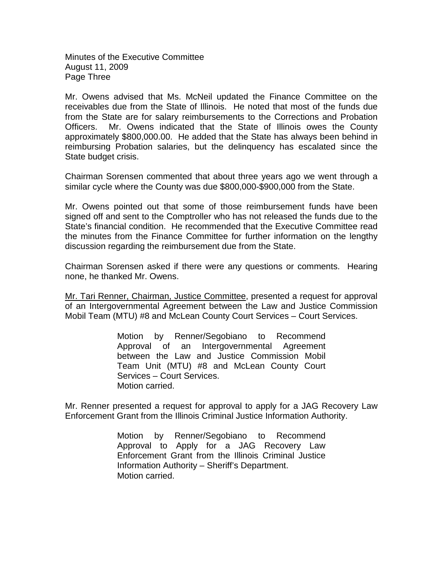Minutes of the Executive Committee August 11, 2009 Page Three

Mr. Owens advised that Ms. McNeil updated the Finance Committee on the receivables due from the State of Illinois. He noted that most of the funds due from the State are for salary reimbursements to the Corrections and Probation Officers. Mr. Owens indicated that the State of Illinois owes the County approximately \$800,000.00. He added that the State has always been behind in reimbursing Probation salaries, but the delinquency has escalated since the State budget crisis.

Chairman Sorensen commented that about three years ago we went through a similar cycle where the County was due \$800,000-\$900,000 from the State.

Mr. Owens pointed out that some of those reimbursement funds have been signed off and sent to the Comptroller who has not released the funds due to the State's financial condition. He recommended that the Executive Committee read the minutes from the Finance Committee for further information on the lengthy discussion regarding the reimbursement due from the State.

Chairman Sorensen asked if there were any questions or comments. Hearing none, he thanked Mr. Owens.

Mr. Tari Renner, Chairman, Justice Committee, presented a request for approval of an Intergovernmental Agreement between the Law and Justice Commission Mobil Team (MTU) #8 and McLean County Court Services – Court Services.

> Motion by Renner/Segobiano to Recommend Approval of an Intergovernmental Agreement between the Law and Justice Commission Mobil Team Unit (MTU) #8 and McLean County Court Services – Court Services. Motion carried.

Mr. Renner presented a request for approval to apply for a JAG Recovery Law Enforcement Grant from the Illinois Criminal Justice Information Authority.

> Motion by Renner/Segobiano to Recommend Approval to Apply for a JAG Recovery Law Enforcement Grant from the Illinois Criminal Justice Information Authority – Sheriff's Department. Motion carried.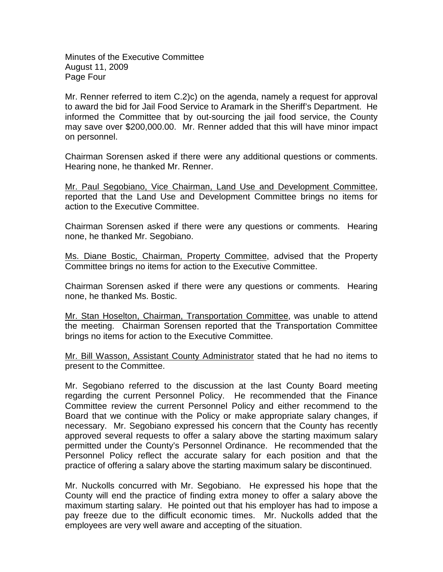Minutes of the Executive Committee August 11, 2009 Page Four

Mr. Renner referred to item C.2)c) on the agenda, namely a request for approval to award the bid for Jail Food Service to Aramark in the Sheriff's Department. He informed the Committee that by out-sourcing the jail food service, the County may save over \$200,000.00. Mr. Renner added that this will have minor impact on personnel.

Chairman Sorensen asked if there were any additional questions or comments. Hearing none, he thanked Mr. Renner.

Mr. Paul Segobiano, Vice Chairman, Land Use and Development Committee. reported that the Land Use and Development Committee brings no items for action to the Executive Committee.

Chairman Sorensen asked if there were any questions or comments. Hearing none, he thanked Mr. Segobiano.

Ms. Diane Bostic, Chairman, Property Committee, advised that the Property Committee brings no items for action to the Executive Committee.

Chairman Sorensen asked if there were any questions or comments. Hearing none, he thanked Ms. Bostic.

Mr. Stan Hoselton, Chairman, Transportation Committee, was unable to attend the meeting. Chairman Sorensen reported that the Transportation Committee brings no items for action to the Executive Committee.

Mr. Bill Wasson, Assistant County Administrator stated that he had no items to present to the Committee.

Mr. Segobiano referred to the discussion at the last County Board meeting regarding the current Personnel Policy. He recommended that the Finance Committee review the current Personnel Policy and either recommend to the Board that we continue with the Policy or make appropriate salary changes, if necessary. Mr. Segobiano expressed his concern that the County has recently approved several requests to offer a salary above the starting maximum salary permitted under the County's Personnel Ordinance. He recommended that the Personnel Policy reflect the accurate salary for each position and that the practice of offering a salary above the starting maximum salary be discontinued.

Mr. Nuckolls concurred with Mr. Segobiano. He expressed his hope that the County will end the practice of finding extra money to offer a salary above the maximum starting salary. He pointed out that his employer has had to impose a pay freeze due to the difficult economic times. Mr. Nuckolls added that the employees are very well aware and accepting of the situation.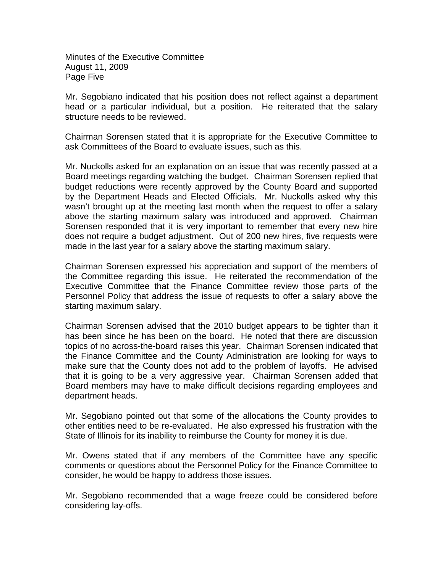Minutes of the Executive Committee August 11, 2009 Page Five

Mr. Segobiano indicated that his position does not reflect against a department head or a particular individual, but a position. He reiterated that the salary structure needs to be reviewed.

Chairman Sorensen stated that it is appropriate for the Executive Committee to ask Committees of the Board to evaluate issues, such as this.

Mr. Nuckolls asked for an explanation on an issue that was recently passed at a Board meetings regarding watching the budget. Chairman Sorensen replied that budget reductions were recently approved by the County Board and supported by the Department Heads and Elected Officials. Mr. Nuckolls asked why this wasn't brought up at the meeting last month when the request to offer a salary above the starting maximum salary was introduced and approved. Chairman Sorensen responded that it is very important to remember that every new hire does not require a budget adjustment. Out of 200 new hires, five requests were made in the last year for a salary above the starting maximum salary.

Chairman Sorensen expressed his appreciation and support of the members of the Committee regarding this issue. He reiterated the recommendation of the Executive Committee that the Finance Committee review those parts of the Personnel Policy that address the issue of requests to offer a salary above the starting maximum salary.

Chairman Sorensen advised that the 2010 budget appears to be tighter than it has been since he has been on the board. He noted that there are discussion topics of no across-the-board raises this year. Chairman Sorensen indicated that the Finance Committee and the County Administration are looking for ways to make sure that the County does not add to the problem of layoffs. He advised that it is going to be a very aggressive year. Chairman Sorensen added that Board members may have to make difficult decisions regarding employees and department heads.

Mr. Segobiano pointed out that some of the allocations the County provides to other entities need to be re-evaluated. He also expressed his frustration with the State of Illinois for its inability to reimburse the County for money it is due.

Mr. Owens stated that if any members of the Committee have any specific comments or questions about the Personnel Policy for the Finance Committee to consider, he would be happy to address those issues.

Mr. Segobiano recommended that a wage freeze could be considered before considering lay-offs.